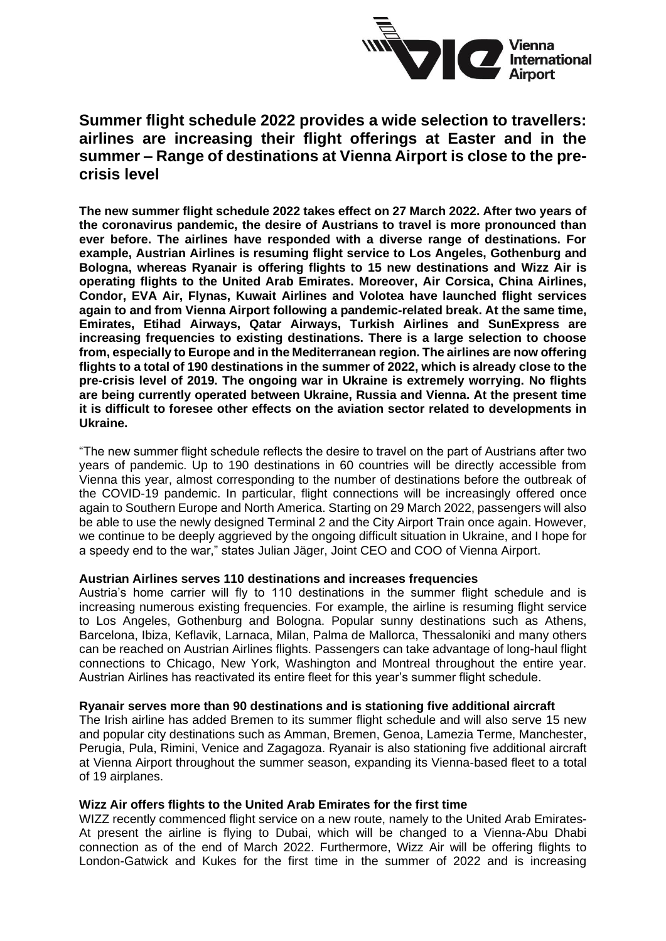

# **Summer flight schedule 2022 provides a wide selection to travellers: airlines are increasing their flight offerings at Easter and in the summer – Range of destinations at Vienna Airport is close to the precrisis level**

**The new summer flight schedule 2022 takes effect on 27 March 2022. After two years of the coronavirus pandemic, the desire of Austrians to travel is more pronounced than ever before. The airlines have responded with a diverse range of destinations. For example, Austrian Airlines is resuming flight service to Los Angeles, Gothenburg and Bologna, whereas Ryanair is offering flights to 15 new destinations and Wizz Air is operating flights to the United Arab Emirates. Moreover, Air Corsica, China Airlines, Condor, EVA Air, Flynas, Kuwait Airlines and Volotea have launched flight services again to and from Vienna Airport following a pandemic-related break. At the same time, Emirates, Etihad Airways, Qatar Airways, Turkish Airlines and SunExpress are increasing frequencies to existing destinations. There is a large selection to choose from, especially to Europe and in the Mediterranean region. The airlines are now offering flights to a total of 190 destinations in the summer of 2022, which is already close to the pre-crisis level of 2019. The ongoing war in Ukraine is extremely worrying. No flights are being currently operated between Ukraine, Russia and Vienna. At the present time it is difficult to foresee other effects on the aviation sector related to developments in Ukraine.**

"The new summer flight schedule reflects the desire to travel on the part of Austrians after two years of pandemic. Up to 190 destinations in 60 countries will be directly accessible from Vienna this year, almost corresponding to the number of destinations before the outbreak of the COVID-19 pandemic. In particular, flight connections will be increasingly offered once again to Southern Europe and North America. Starting on 29 March 2022, passengers will also be able to use the newly designed Terminal 2 and the City Airport Train once again. However, we continue to be deeply aggrieved by the ongoing difficult situation in Ukraine, and I hope for a speedy end to the war," states Julian Jäger, Joint CEO and COO of Vienna Airport.

### **Austrian Airlines serves 110 destinations and increases frequencies**

Austria's home carrier will fly to 110 destinations in the summer flight schedule and is increasing numerous existing frequencies. For example, the airline is resuming flight service to Los Angeles, Gothenburg and Bologna. Popular sunny destinations such as Athens, Barcelona, Ibiza, Keflavik, Larnaca, Milan, Palma de Mallorca, Thessaloniki and many others can be reached on Austrian Airlines flights. Passengers can take advantage of long-haul flight connections to Chicago, New York, Washington and Montreal throughout the entire year. Austrian Airlines has reactivated its entire fleet for this year's summer flight schedule.

## **Ryanair serves more than 90 destinations and is stationing five additional aircraft**

The Irish airline has added Bremen to its summer flight schedule and will also serve 15 new and popular city destinations such as Amman, Bremen, Genoa, Lamezia Terme, Manchester, Perugia, Pula, Rimini, Venice and Zagagoza. Ryanair is also stationing five additional aircraft at Vienna Airport throughout the summer season, expanding its Vienna-based fleet to a total of 19 airplanes.

## **Wizz Air offers flights to the United Arab Emirates for the first time**

WIZZ recently commenced flight service on a new route, namely to the United Arab Emirates-At present the airline is flying to Dubai, which will be changed to a Vienna-Abu Dhabi connection as of the end of March 2022. Furthermore, Wizz Air will be offering flights to London-Gatwick and Kukes for the first time in the summer of 2022 and is increasing